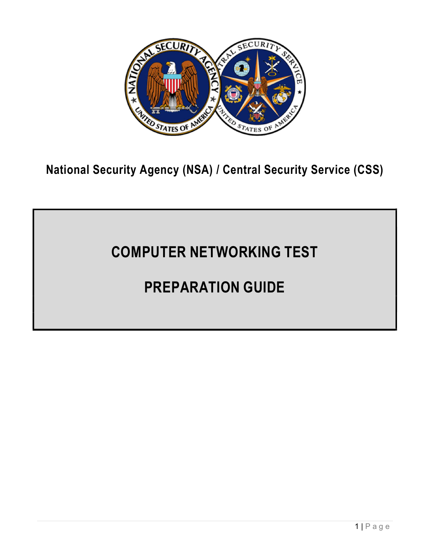

National Security Agency (NSA) / Central Security Service (CSS)

# COMPUTER NETWORKING TEST

# PREPARATION GUIDE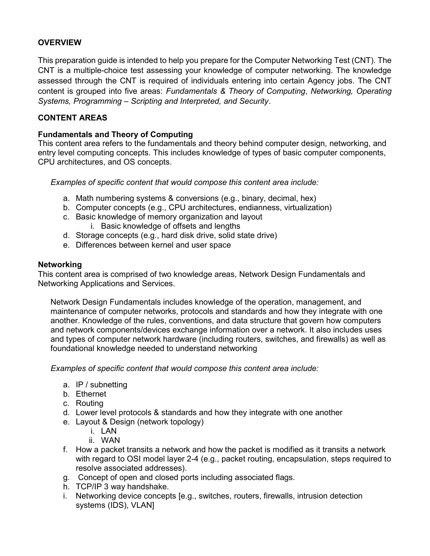# **OVERVIEW**

This preparation guide is intended to help you prepare for the Computer Networking Test (CNT). The CNT is a multiple-choice test assessing your knowledge of computer networking. The knowledge assessed through the CNT is required of individuals entering into certain Agency jobs. The CNT content is grouped into five areas: Fundamentals & Theory of Computing, Networking, Operating Systems, Programming – Scripting and Interpreted, and Security.

# CONTENT AREAS

# Fundamentals and Theory of Computing

This content area refers to the fundamentals and theory behind computer design, networking, and entry level computing concepts. This includes knowledge of types of basic computer components, CPU architectures, and OS concepts.

Examples of specific content that would compose this content area include:

- a. Math numbering systems & conversions (e.g., binary, decimal, hex)
- b. Computer concepts (e.g., CPU architectures, endianness, virtualization)
- c. Basic knowledge of memory organization and layout i. Basic knowledge of offsets and lengths
- d. Storage concepts (e.g., hard disk drive, solid state drive)
- e. Differences between kernel and user space

#### Networking

This content area is comprised of two knowledge areas, Network Design Fundamentals and Networking Applications and Services.

Network Design Fundamentals includes knowledge of the operation, management, and maintenance of computer networks, protocols and standards and how they integrate with one another. Knowledge of the rules, conventions, and data structure that govern how computers and network components/devices exchange information over a network. It also includes uses and types of computer network hardware (including routers, switches, and firewalls) as well as foundational knowledge needed to understand networking

Examples of specific content that would compose this content area include:

- a. IP / subnetting
- b. Ethernet
- c. Routing
- d. Lower level protocols & standards and how they integrate with one another
- e. Layout & Design (network topology)
	- i. LAN
	- ii. WAN
- f. How a packet transits a network and how the packet is modified as it transits a network with regard to OSI model layer 2-4 (e.g., packet routing, encapsulation, steps required to resolve associated addresses).
- g. Concept of open and closed ports including associated flags.
- h. TCP/IP 3 way handshake.
- i. Networking device concepts [e.g., switches, routers, firewalls, intrusion detection systems (IDS), VLAN]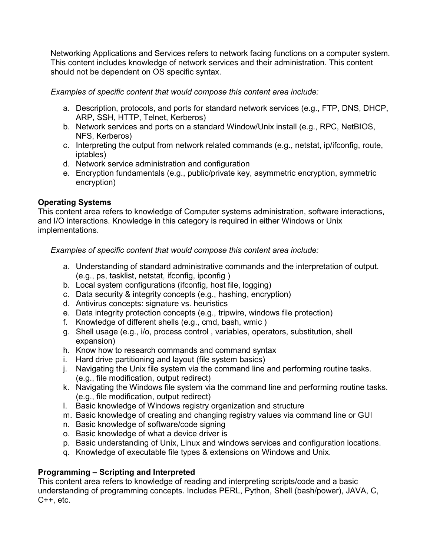Networking Applications and Services refers to network facing functions on a computer system. This content includes knowledge of network services and their administration. This content should not be dependent on OS specific syntax.

Examples of specific content that would compose this content area include:

- a. Description, protocols, and ports for standard network services (e.g., FTP, DNS, DHCP, ARP, SSH, HTTP, Telnet, Kerberos)
- b. Network services and ports on a standard Window/Unix install (e.g., RPC, NetBIOS, NFS, Kerberos)
- c. Interpreting the output from network related commands (e.g., netstat, ip/ifconfig, route, iptables)
- d. Network service administration and configuration
- e. Encryption fundamentals (e.g., public/private key, asymmetric encryption, symmetric encryption)

# Operating Systems

This content area refers to knowledge of Computer systems administration, software interactions, and I/O interactions. Knowledge in this category is required in either Windows or Unix implementations.

Examples of specific content that would compose this content area include:

- a. Understanding of standard administrative commands and the interpretation of output. (e.g., ps, tasklist, netstat, ifconfig, ipconfig )
- b. Local system configurations (ifconfig, host file, logging)
- c. Data security & integrity concepts (e.g., hashing, encryption)
- d. Antivirus concepts: signature vs. heuristics
- e. Data integrity protection concepts (e.g., tripwire, windows file protection)
- f. Knowledge of different shells (e.g., cmd, bash, wmic )
- g. Shell usage (e.g., i/o, process control , variables, operators, substitution, shell expansion)
- h. Know how to research commands and command syntax
- i. Hard drive partitioning and layout (file system basics)
- j. Navigating the Unix file system via the command line and performing routine tasks. (e.g., file modification, output redirect)
- k. Navigating the Windows file system via the command line and performing routine tasks. (e.g., file modification, output redirect)
- l. Basic knowledge of Windows registry organization and structure
- m. Basic knowledge of creating and changing registry values via command line or GUI
- n. Basic knowledge of software/code signing
- o. Basic knowledge of what a device driver is
- p. Basic understanding of Unix, Linux and windows services and configuration locations.
- q. Knowledge of executable file types & extensions on Windows and Unix.

# Programming – Scripting and Interpreted

This content area refers to knowledge of reading and interpreting scripts/code and a basic understanding of programming concepts. Includes PERL, Python, Shell (bash/power), JAVA, C,  $C++$ , etc.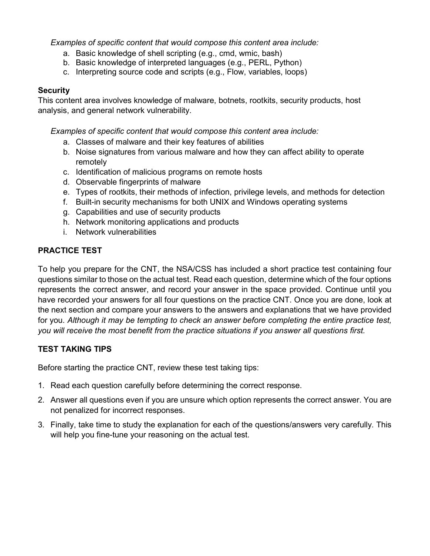Examples of specific content that would compose this content area include:

- a. Basic knowledge of shell scripting (e.g., cmd, wmic, bash)
- b. Basic knowledge of interpreted languages (e.g., PERL, Python)
- c. Interpreting source code and scripts (e.g., Flow, variables, loops)

#### **Security**

This content area involves knowledge of malware, botnets, rootkits, security products, host analysis, and general network vulnerability.

Examples of specific content that would compose this content area include:

- a. Classes of malware and their key features of abilities
- b. Noise signatures from various malware and how they can affect ability to operate remotely
- c. Identification of malicious programs on remote hosts
- d. Observable fingerprints of malware
- e. Types of rootkits, their methods of infection, privilege levels, and methods for detection
- f. Built-in security mechanisms for both UNIX and Windows operating systems
- g. Capabilities and use of security products
- h. Network monitoring applications and products
- i. Network vulnerabilities

#### PRACTICE TEST

To help you prepare for the CNT, the NSA/CSS has included a short practice test containing four questions similar to those on the actual test. Read each question, determine which of the four options represents the correct answer, and record your answer in the space provided. Continue until you have recorded your answers for all four questions on the practice CNT. Once you are done, look at the next section and compare your answers to the answers and explanations that we have provided for you. Although it may be tempting to check an answer before completing the entire practice test, you will receive the most benefit from the practice situations if you answer all questions first.

# TEST TAKING TIPS

Before starting the practice CNT, review these test taking tips:

- 1. Read each question carefully before determining the correct response.
- 2. Answer all questions even if you are unsure which option represents the correct answer. You are not penalized for incorrect responses.
- 3. Finally, take time to study the explanation for each of the questions/answers very carefully. This will help you fine-tune your reasoning on the actual test.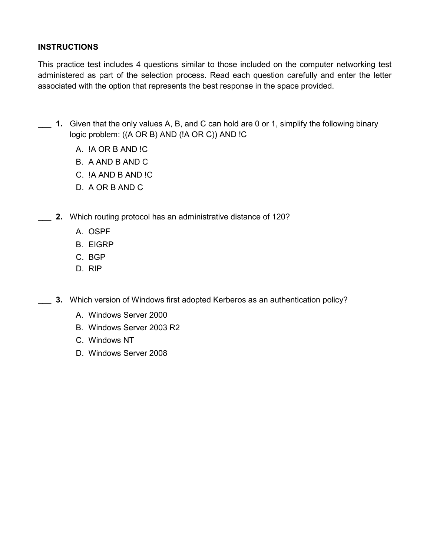# **INSTRUCTIONS**

This practice test includes 4 questions similar to those included on the computer networking test administered as part of the selection process. Read each question carefully and enter the letter associated with the option that represents the best response in the space provided.

- 1. Given that the only values A, B, and C can hold are 0 or 1, simplify the following binary logic problem: ((A OR B) AND (!A OR C)) AND !C
	- A. !A OR B AND !C
	- B. A AND B AND C
	- C. !A AND B AND !C
	- D. A OR B AND C
- 2. Which routing protocol has an administrative distance of 120?
	- A. OSPF
	- B. EIGRP
	- C. BGP
	- D. RIP
- \_\_\_ 3. Which version of Windows first adopted Kerberos as an authentication policy?
	- A. Windows Server 2000
	- B. Windows Server 2003 R2
	- C. Windows NT
	- D. Windows Server 2008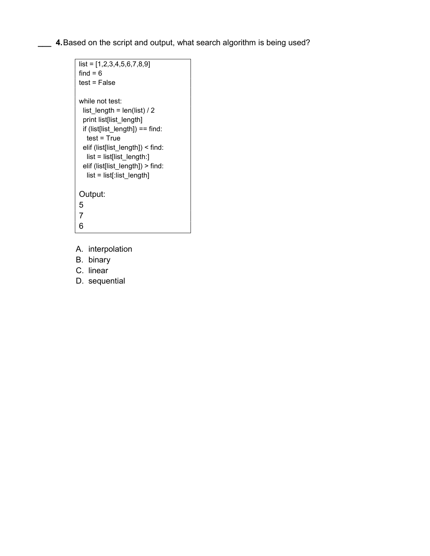1. Based on the script and output, what search algorithm is being used?

```
list = [1, 2, 3, 4, 5, 6, 7, 8, 9]find = 6test = False 
while not test: 
  list_length = len(list) / 2 
  print list[list_length] 
  if (list[list_length]) == find: 
   test = True 
  elif (list[list_length]) < find: 
   list = list[list_length:] 
  elif (list[list_length]) > find: 
   list = list[:list_length] 
Output: 
5 
7 
6
```
- A. interpolation
- B. binary
- C. linear
- D. sequential